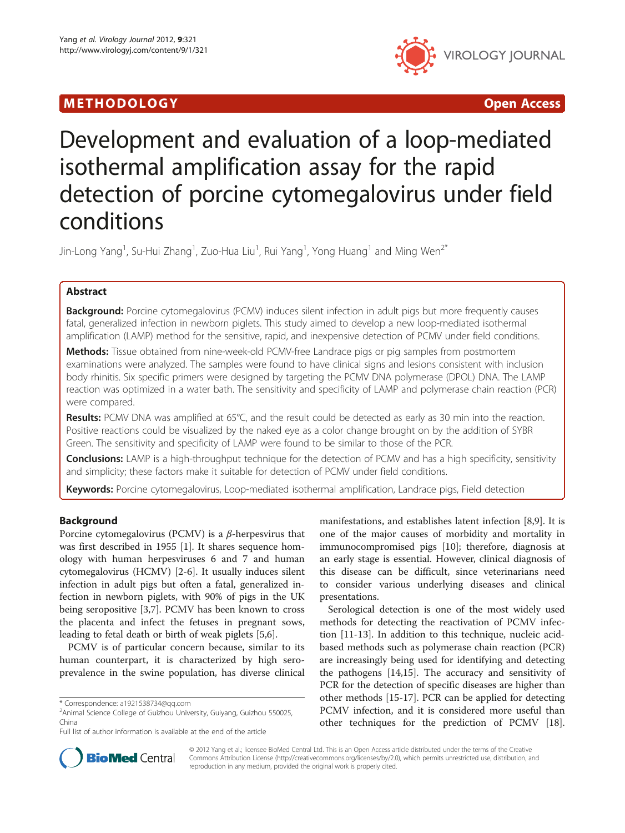## M E THODO L OGY Open Access



# Development and evaluation of a loop-mediated isothermal amplification assay for the rapid detection of porcine cytomegalovirus under field conditions

Jin-Long Yang<sup>1</sup>, Su-Hui Zhang<sup>1</sup>, Zuo-Hua Liu<sup>1</sup>, Rui Yang<sup>1</sup>, Yong Huang<sup>1</sup> and Ming Wen<sup>2\*</sup>

## Abstract

**Background:** Porcine cytomegalovirus (PCMV) induces silent infection in adult pigs but more frequently causes fatal, generalized infection in newborn piglets. This study aimed to develop a new loop-mediated isothermal amplification (LAMP) method for the sensitive, rapid, and inexpensive detection of PCMV under field conditions.

**Methods:** Tissue obtained from nine-week-old PCMV-free Landrace pigs or pig samples from postmortem examinations were analyzed. The samples were found to have clinical signs and lesions consistent with inclusion body rhinitis. Six specific primers were designed by targeting the PCMV DNA polymerase (DPOL) DNA. The LAMP reaction was optimized in a water bath. The sensitivity and specificity of LAMP and polymerase chain reaction (PCR) were compared.

Results: PCMV DNA was amplified at 65°C, and the result could be detected as early as 30 min into the reaction. Positive reactions could be visualized by the naked eye as a color change brought on by the addition of SYBR Green. The sensitivity and specificity of LAMP were found to be similar to those of the PCR.

**Conclusions:** LAMP is a high-throughput technique for the detection of PCMV and has a high specificity, sensitivity and simplicity; these factors make it suitable for detection of PCMV under field conditions.

Keywords: Porcine cytomegalovirus, Loop-mediated isothermal amplification, Landrace pigs, Field detection

## Background

Porcine cytomegalovirus (PCMV) is a  $\beta$ -herpesvirus that was first described in 1955 [[1\]](#page-5-0). It shares sequence homology with human herpesviruses 6 and 7 and human cytomegalovirus (HCMV) [[2-6](#page-5-0)]. It usually induces silent infection in adult pigs but often a fatal, generalized infection in newborn piglets, with 90% of pigs in the UK being seropositive [[3,7\]](#page-5-0). PCMV has been known to cross the placenta and infect the fetuses in pregnant sows, leading to fetal death or birth of weak piglets [\[5,6](#page-5-0)].

PCMV is of particular concern because, similar to its human counterpart, it is characterized by high seroprevalence in the swine population, has diverse clinical

manifestations, and establishes latent infection [\[8](#page-5-0)[,9](#page-6-0)]. It is one of the major causes of morbidity and mortality in immunocompromised pigs [[10](#page-6-0)]; therefore, diagnosis at an early stage is essential. However, clinical diagnosis of this disease can be difficult, since veterinarians need to consider various underlying diseases and clinical presentations.

Serological detection is one of the most widely used methods for detecting the reactivation of PCMV infection [[11-13\]](#page-6-0). In addition to this technique, nucleic acidbased methods such as polymerase chain reaction (PCR) are increasingly being used for identifying and detecting the pathogens [\[14,15\]](#page-6-0). The accuracy and sensitivity of PCR for the detection of specific diseases are higher than other methods [[15-17](#page-6-0)]. PCR can be applied for detecting PCMV infection, and it is considered more useful than other techniques for the prediction of PCMV [\[18](#page-6-0)].



© 2012 Yang et al.; licensee BioMed Central Ltd. This is an Open Access article distributed under the terms of the Creative Commons Attribution License [\(http://creativecommons.org/licenses/by/2.0\)](http://creativecommons.org/licenses/by/2.0), which permits unrestricted use, distribution, and reproduction in any medium, provided the original work is properly cited.

<sup>\*</sup> Correspondence: [a1921538734@qq.com](mailto:a1921538734@qq.com) <sup>2</sup>

<sup>&</sup>lt;sup>2</sup> Animal Science College of Guizhou University, Guiyang, Guizhou 550025, China

Full list of author information is available at the end of the article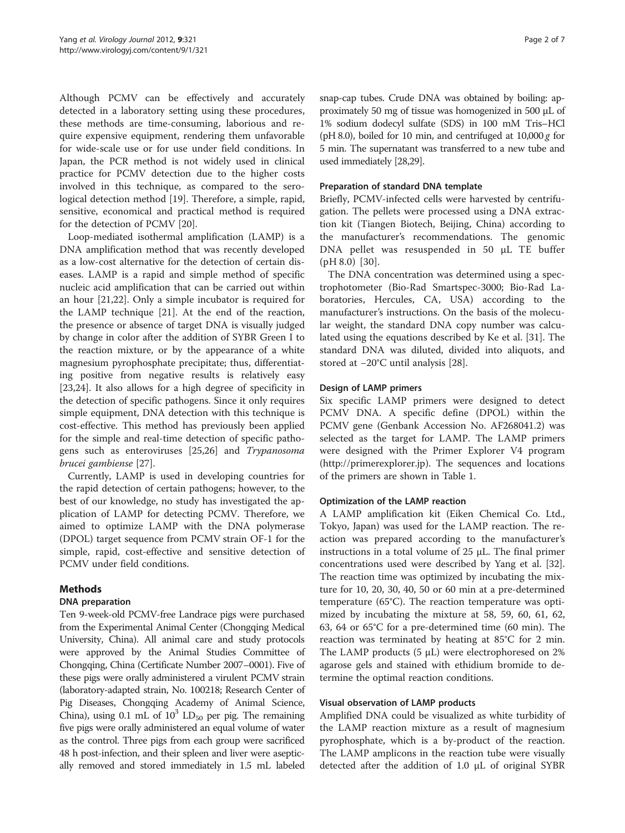Although PCMV can be effectively and accurately detected in a laboratory setting using these procedures, these methods are time-consuming, laborious and require expensive equipment, rendering them unfavorable for wide-scale use or for use under field conditions. In Japan, the PCR method is not widely used in clinical practice for PCMV detection due to the higher costs involved in this technique, as compared to the serological detection method [\[19](#page-6-0)]. Therefore, a simple, rapid, sensitive, economical and practical method is required for the detection of PCMV [\[20\]](#page-6-0).

Loop-mediated isothermal amplification (LAMP) is a DNA amplification method that was recently developed as a low-cost alternative for the detection of certain diseases. LAMP is a rapid and simple method of specific nucleic acid amplification that can be carried out within an hour [\[21,22\]](#page-6-0). Only a simple incubator is required for the LAMP technique [\[21](#page-6-0)]. At the end of the reaction, the presence or absence of target DNA is visually judged by change in color after the addition of SYBR Green I to the reaction mixture, or by the appearance of a white magnesium pyrophosphate precipitate; thus, differentiating positive from negative results is relatively easy [[23,24\]](#page-6-0). It also allows for a high degree of specificity in the detection of specific pathogens. Since it only requires simple equipment, DNA detection with this technique is cost-effective. This method has previously been applied for the simple and real-time detection of specific pathogens such as enteroviruses [[25,26\]](#page-6-0) and Trypanosoma brucei gambiense [[27\]](#page-6-0).

Currently, LAMP is used in developing countries for the rapid detection of certain pathogens; however, to the best of our knowledge, no study has investigated the application of LAMP for detecting PCMV. Therefore, we aimed to optimize LAMP with the DNA polymerase (DPOL) target sequence from PCMV strain OF-1 for the simple, rapid, cost-effective and sensitive detection of PCMV under field conditions.

## Methods

#### DNA preparation

Ten 9-week-old PCMV-free Landrace pigs were purchased from the Experimental Animal Center (Chongqing Medical University, China). All animal care and study protocols were approved by the Animal Studies Committee of Chongqing, China (Certificate Number 2007–0001). Five of these pigs were orally administered a virulent PCMV strain (laboratory-adapted strain, No. 100218; Research Center of Pig Diseases, Chongqing Academy of Animal Science, China), using 0.1 mL of  $10^3$  LD<sub>50</sub> per pig. The remaining five pigs were orally administered an equal volume of water as the control. Three pigs from each group were sacrificed 48 h post-infection, and their spleen and liver were aseptically removed and stored immediately in 1.5 mL labeled snap-cap tubes. Crude DNA was obtained by boiling: approximately 50 mg of tissue was homogenized in 500 μL of 1% sodium dodecyl sulfate (SDS) in 100 mM Tris–HCl (pH 8.0), boiled for 10 min, and centrifuged at  $10,000 g$  for 5 min. The supernatant was transferred to a new tube and used immediately [\[28,29\]](#page-6-0).

#### Preparation of standard DNA template

Briefly, PCMV-infected cells were harvested by centrifugation. The pellets were processed using a DNA extraction kit (Tiangen Biotech, Beijing, China) according to the manufacturer's recommendations. The genomic DNA pellet was resuspended in 50 μL TE buffer (pH 8.0) [\[30\]](#page-6-0).

The DNA concentration was determined using a spectrophotometer (Bio-Rad Smartspec-3000; Bio-Rad Laboratories, Hercules, CA, USA) according to the manufacturer's instructions. On the basis of the molecular weight, the standard DNA copy number was calculated using the equations described by Ke et al. [\[31](#page-6-0)]. The standard DNA was diluted, divided into aliquots, and stored at −20°C until analysis [[28\]](#page-6-0).

#### Design of LAMP primers

Six specific LAMP primers were designed to detect PCMV DNA. A specific define (DPOL) within the PCMV gene (Genbank Accession No. AF268041.2) was selected as the target for LAMP. The LAMP primers were designed with the Primer Explorer V4 program (<http://primerexplorer.jp>). The sequences and locations of the primers are shown in Table [1.](#page-2-0)

#### Optimization of the LAMP reaction

A LAMP amplification kit (Eiken Chemical Co. Ltd., Tokyo, Japan) was used for the LAMP reaction. The reaction was prepared according to the manufacturer's instructions in a total volume of 25 μL. The final primer concentrations used were described by Yang et al. [\[32](#page-6-0)]. The reaction time was optimized by incubating the mixture for 10, 20, 30, 40, 50 or 60 min at a pre-determined temperature (65°C). The reaction temperature was optimized by incubating the mixture at 58, 59, 60, 61, 62, 63, 64 or 65°C for a pre-determined time (60 min). The reaction was terminated by heating at 85°C for 2 min. The LAMP products (5 μL) were electrophoresed on 2% agarose gels and stained with ethidium bromide to determine the optimal reaction conditions.

#### Visual observation of LAMP products

Amplified DNA could be visualized as white turbidity of the LAMP reaction mixture as a result of magnesium pyrophosphate, which is a by-product of the reaction. The LAMP amplicons in the reaction tube were visually detected after the addition of 1.0 μL of original SYBR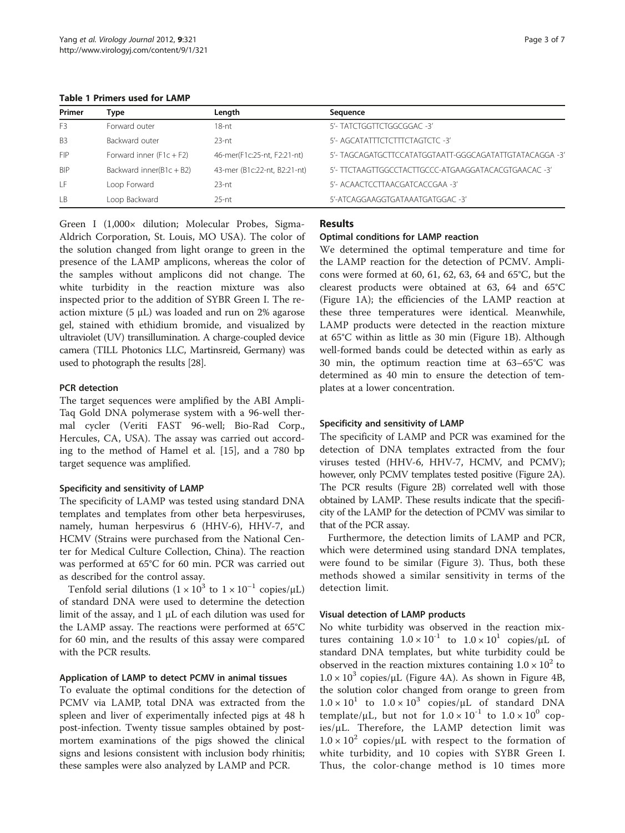<span id="page-2-0"></span>Table 1 Primers used for LAMP

| Primer         | Type                         | Length                       | Seauence                                                |
|----------------|------------------------------|------------------------------|---------------------------------------------------------|
| F <sub>3</sub> | Forward outer                | $18-nt$                      | 5'- TATCTGGTTCTGGCGGAC -3'                              |
| B <sub>3</sub> | Backward outer               | $23-nt$                      | 5'- AGCATATITCTCTITCTAGTCTC -3'                         |
| <b>FIP</b>     | Forward inner $(F1c + F2)$   | 46-mer(F1c:25-nt, F2:21-nt)  | 5'- TAGCAGATGCTTCCATATGGTAATT-GGGCAGATATTGTATACAGGA -3' |
| <b>BIP</b>     | Backward inner( $B1c + B2$ ) | 43-mer (B1c:22-nt, B2:21-nt) | 5'- TTCTAAGTTGGCCTACTTGCCC-ATGAAGGATACACGTGAACAC -3'    |
| LF.            | Loop Forward                 | $23-nt$                      | 5'- ACAACTCCTTAACGATCACCGAA -3'                         |
| LB             | Loop Backward                | $25-nt$                      | 5'-ATCAGGAAGGTGATAAATGATGGAC -3'                        |

Green I (1,000× dilution; Molecular Probes, Sigma-Aldrich Corporation, St. Louis, MO USA). The color of the solution changed from light orange to green in the presence of the LAMP amplicons, whereas the color of the samples without amplicons did not change. The white turbidity in the reaction mixture was also inspected prior to the addition of SYBR Green I. The reaction mixture  $(5 \mu L)$  was loaded and run on 2% agarose gel, stained with ethidium bromide, and visualized by ultraviolet (UV) transillumination. A charge-coupled device camera (TILL Photonics LLC, Martinsreid, Germany) was used to photograph the results [\[28](#page-6-0)].

#### PCR detection

The target sequences were amplified by the ABI Ampli-Taq Gold DNA polymerase system with a 96-well thermal cycler (Veriti FAST 96-well; Bio-Rad Corp., Hercules, CA, USA). The assay was carried out according to the method of Hamel et al. [[15\]](#page-6-0), and a 780 bp target sequence was amplified.

## Specificity and sensitivity of LAMP

The specificity of LAMP was tested using standard DNA templates and templates from other beta herpesviruses, namely, human herpesvirus 6 (HHV-6), HHV-7, and HCMV (Strains were purchased from the National Center for Medical Culture Collection, China). The reaction was performed at 65°C for 60 min. PCR was carried out as described for the control assay.

Tenfold serial dilutions  $(1 \times 10^3$  to  $1 \times 10^{-1}$  copies/ $\mu$ L) of standard DNA were used to determine the detection limit of the assay, and 1 μL of each dilution was used for the LAMP assay. The reactions were performed at 65°C for 60 min, and the results of this assay were compared with the PCR results.

## Application of LAMP to detect PCMV in animal tissues

To evaluate the optimal conditions for the detection of PCMV via LAMP, total DNA was extracted from the spleen and liver of experimentally infected pigs at 48 h post-infection. Twenty tissue samples obtained by postmortem examinations of the pigs showed the clinical signs and lesions consistent with inclusion body rhinitis; these samples were also analyzed by LAMP and PCR.

## Results

#### Optimal conditions for LAMP reaction

We determined the optimal temperature and time for the LAMP reaction for the detection of PCMV. Amplicons were formed at 60, 61, 62, 63, 64 and 65°C, but the clearest products were obtained at 63, 64 and 65°C (Figure [1A\)](#page-3-0); the efficiencies of the LAMP reaction at these three temperatures were identical. Meanwhile, LAMP products were detected in the reaction mixture at 65°C within as little as 30 min (Figure [1B](#page-3-0)). Although well-formed bands could be detected within as early as 30 min, the optimum reaction time at 63–65°C was determined as 40 min to ensure the detection of templates at a lower concentration.

## Specificity and sensitivity of LAMP

The specificity of LAMP and PCR was examined for the detection of DNA templates extracted from the four viruses tested (HHV-6, HHV-7, HCMV, and PCMV); however, only PCMV templates tested positive (Figure [2A](#page-3-0)). The PCR results (Figure [2B](#page-3-0)) correlated well with those obtained by LAMP. These results indicate that the specificity of the LAMP for the detection of PCMV was similar to that of the PCR assay.

Furthermore, the detection limits of LAMP and PCR, which were determined using standard DNA templates, were found to be similar (Figure [3\)](#page-4-0). Thus, both these methods showed a similar sensitivity in terms of the detection limit.

## Visual detection of LAMP products

No white turbidity was observed in the reaction mixtures containing  $1.0 \times 10^{-1}$  to  $1.0 \times 10^{1}$  copies/µL of standard DNA templates, but white turbidity could be observed in the reaction mixtures containing  $1.0 \times 10^2$  to  $1.0 \times 10^3$  copies/µL (Figure [4A](#page-4-0)). As shown in Figure [4B](#page-4-0), the solution color changed from orange to green from  $1.0 \times 10^{1}$  to  $1.0 \times 10^{3}$  copies/ $\mu$ L of standard DNA template/μL, but not for  $1.0 \times 10^{-1}$  to  $1.0 \times 10^{0}$  copies/μL. Therefore, the LAMP detection limit was  $1.0 \times 10^{2}$  copies/ $\mu$ L with respect to the formation of white turbidity, and 10 copies with SYBR Green I. Thus, the color-change method is 10 times more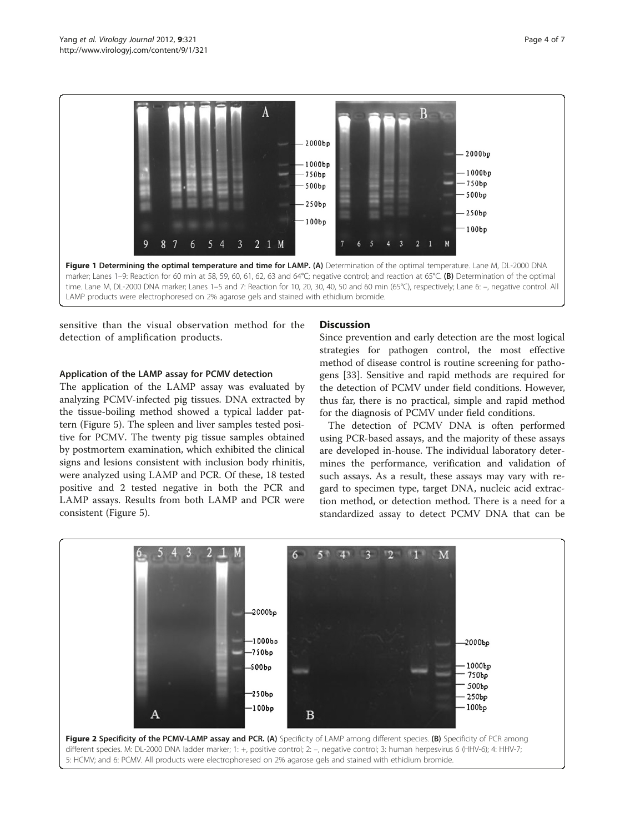<span id="page-3-0"></span>

sensitive than the visual observation method for the detection of amplification products.

#### Application of the LAMP assay for PCMV detection

The application of the LAMP assay was evaluated by analyzing PCMV-infected pig tissues. DNA extracted by the tissue-boiling method showed a typical ladder pattern (Figure [5](#page-4-0)). The spleen and liver samples tested positive for PCMV. The twenty pig tissue samples obtained by postmortem examination, which exhibited the clinical signs and lesions consistent with inclusion body rhinitis, were analyzed using LAMP and PCR. Of these, 18 tested positive and 2 tested negative in both the PCR and LAMP assays. Results from both LAMP and PCR were consistent (Figure [5\)](#page-4-0).

#### **Discussion**

Since prevention and early detection are the most logical strategies for pathogen control, the most effective method of disease control is routine screening for pathogens [\[33](#page-6-0)]. Sensitive and rapid methods are required for the detection of PCMV under field conditions. However, thus far, there is no practical, simple and rapid method for the diagnosis of PCMV under field conditions.

The detection of PCMV DNA is often performed using PCR-based assays, and the majority of these assays are developed in-house. The individual laboratory determines the performance, verification and validation of such assays. As a result, these assays may vary with regard to specimen type, target DNA, nucleic acid extraction method, or detection method. There is a need for a standardized assay to detect PCMV DNA that can be

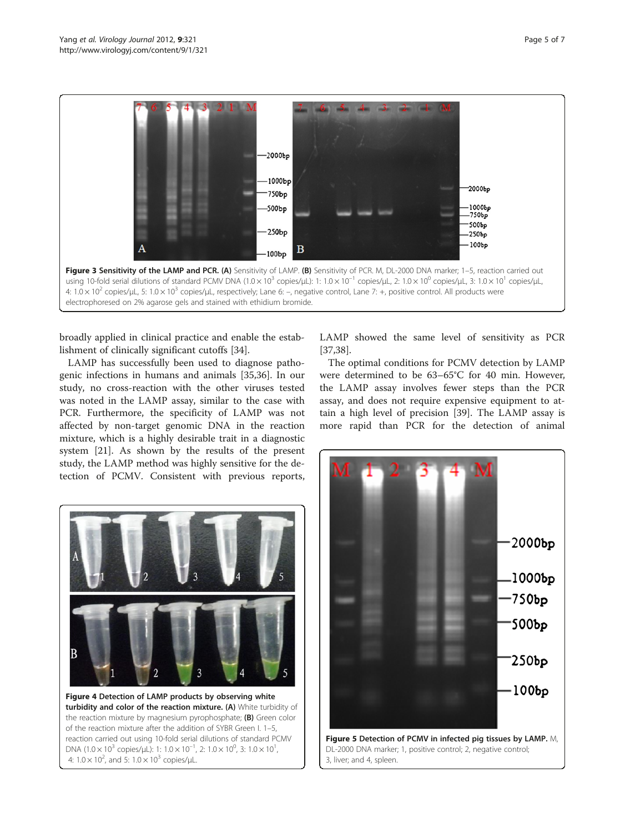<span id="page-4-0"></span>

broadly applied in clinical practice and enable the establishment of clinically significant cutoffs [\[34\]](#page-6-0).

LAMP has successfully been used to diagnose pathogenic infections in humans and animals [\[35,36](#page-6-0)]. In our study, no cross-reaction with the other viruses tested was noted in the LAMP assay, similar to the case with PCR. Furthermore, the specificity of LAMP was not affected by non-target genomic DNA in the reaction mixture, which is a highly desirable trait in a diagnostic system [\[21](#page-6-0)]. As shown by the results of the present study, the LAMP method was highly sensitive for the detection of PCMV. Consistent with previous reports,



of the reaction mixture after the addition of SYBR Green I. 1–5, reaction carried out using 10-fold serial dilutions of standard PCMV DNA  $(1.0 \times 10^3 \text{ copies/}\mu\text{L})$ : 1:  $1.0 \times 10^{-1}$ , 2:  $1.0 \times 10^0$ , 3:  $1.0 \times 10^1$ , 4:  $1.0 \times 10^2$ , and 5:  $1.0 \times 10^3$  copies/ $\mu$ L.

LAMP showed the same level of sensitivity as PCR [[37,38\]](#page-6-0).

The optimal conditions for PCMV detection by LAMP were determined to be 63–65°C for 40 min. However, the LAMP assay involves fewer steps than the PCR assay, and does not require expensive equipment to attain a high level of precision [\[39](#page-6-0)]. The LAMP assay is more rapid than PCR for the detection of animal

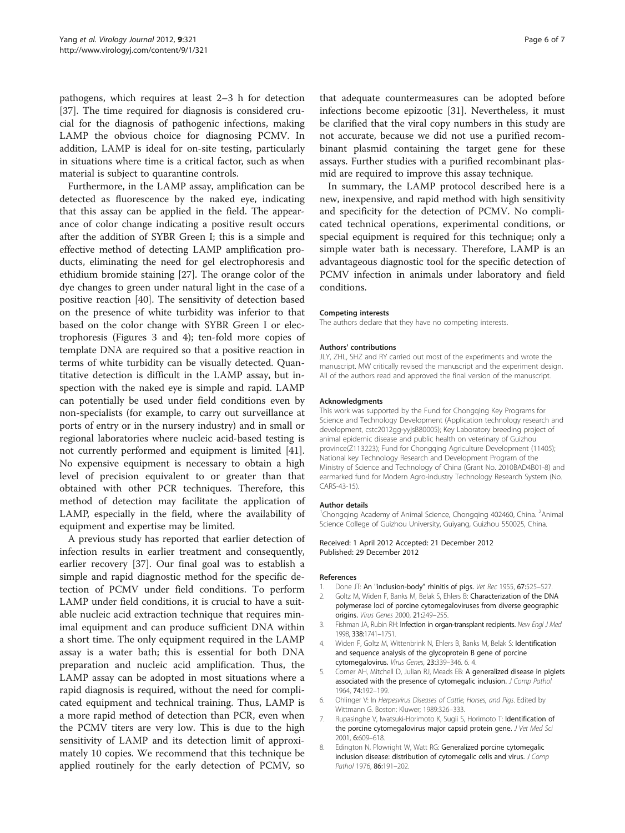<span id="page-5-0"></span>pathogens, which requires at least 2–3 h for detection [[37\]](#page-6-0). The time required for diagnosis is considered crucial for the diagnosis of pathogenic infections, making LAMP the obvious choice for diagnosing PCMV. In addition, LAMP is ideal for on-site testing, particularly in situations where time is a critical factor, such as when material is subject to quarantine controls.

Furthermore, in the LAMP assay, amplification can be detected as fluorescence by the naked eye, indicating that this assay can be applied in the field. The appearance of color change indicating a positive result occurs after the addition of SYBR Green I; this is a simple and effective method of detecting LAMP amplification products, eliminating the need for gel electrophoresis and ethidium bromide staining [[27\]](#page-6-0). The orange color of the dye changes to green under natural light in the case of a positive reaction [[40](#page-6-0)]. The sensitivity of detection based on the presence of white turbidity was inferior to that based on the color change with SYBR Green I or electrophoresis (Figures [3](#page-4-0) and [4](#page-4-0)); ten-fold more copies of template DNA are required so that a positive reaction in terms of white turbidity can be visually detected. Quantitative detection is difficult in the LAMP assay, but inspection with the naked eye is simple and rapid. LAMP can potentially be used under field conditions even by non-specialists (for example, to carry out surveillance at ports of entry or in the nursery industry) and in small or regional laboratories where nucleic acid-based testing is not currently performed and equipment is limited [\[41](#page-6-0)]. No expensive equipment is necessary to obtain a high level of precision equivalent to or greater than that obtained with other PCR techniques. Therefore, this method of detection may facilitate the application of LAMP, especially in the field, where the availability of equipment and expertise may be limited.

A previous study has reported that earlier detection of infection results in earlier treatment and consequently, earlier recovery [\[37](#page-6-0)]. Our final goal was to establish a simple and rapid diagnostic method for the specific detection of PCMV under field conditions. To perform LAMP under field conditions, it is crucial to have a suitable nucleic acid extraction technique that requires minimal equipment and can produce sufficient DNA within a short time. The only equipment required in the LAMP assay is a water bath; this is essential for both DNA preparation and nucleic acid amplification. Thus, the LAMP assay can be adopted in most situations where a rapid diagnosis is required, without the need for complicated equipment and technical training. Thus, LAMP is a more rapid method of detection than PCR, even when the PCMV titers are very low. This is due to the high sensitivity of LAMP and its detection limit of approximately 10 copies. We recommend that this technique be applied routinely for the early detection of PCMV, so

that adequate countermeasures can be adopted before infections become epizootic [[31](#page-6-0)]. Nevertheless, it must be clarified that the viral copy numbers in this study are not accurate, because we did not use a purified recombinant plasmid containing the target gene for these assays. Further studies with a purified recombinant plasmid are required to improve this assay technique.

In summary, the LAMP protocol described here is a new, inexpensive, and rapid method with high sensitivity and specificity for the detection of PCMV. No complicated technical operations, experimental conditions, or special equipment is required for this technique; only a simple water bath is necessary. Therefore, LAMP is an advantageous diagnostic tool for the specific detection of PCMV infection in animals under laboratory and field conditions.

#### Competing interests

The authors declare that they have no competing interests.

#### Authors' contributions

JLY, ZHL, SHZ and RY carried out most of the experiments and wrote the manuscript. MW critically revised the manuscript and the experiment design. All of the authors read and approved the final version of the manuscript.

#### Acknowledgments

This work was supported by the Fund for Chongqing Key Programs for Science and Technology Development (Application technology research and development, cstc2012gg-yyjsB80005); Key Laboratory breeding project of animal epidemic disease and public health on veterinary of Guizhou province(Z113223); Fund for Chongqing Agriculture Development (11405); National key Technology Research and Development Program of the Ministry of Science and Technology of China (Grant No. 2010BAD4B01-8) and earmarked fund for Modern Agro-industry Technology Research System (No. CARS-43-15).

#### Author details

<sup>1</sup>Chongqing Academy of Animal Science, Chongqing 402460, China. <sup>2</sup>Animal Science College of Guizhou University, Guiyang, Guizhou 550025, China.

Received: 1 April 2012 Accepted: 21 December 2012 Published: 29 December 2012

#### References

- Done JT: An "inclusion-body" rhinitis of pigs. Vet Rec 1955, 67:525-527.
- 2. Goltz M, Widen F, Banks M, Belak S, Ehlers B: Characterization of the DNA polymerase loci of porcine cytomegaloviruses from diverse geographic origins. Virus Genes 2000, 21:249–255.
- 3. Fishman JA, Rubin RH: Infection in organ-transplant recipients. New Engl J Med 1998, 338:1741–1751.
- 4. Widen F, Goltz M, Wittenbrink N, Ehlers B, Banks M, Belak S: Identification and sequence analysis of the glycoprotein B gene of porcine cytomegalovirus. Virus Genes, 23:339–346. 6. 4.
- 5. Corner AH, Mitchell D, Julian RJ, Meads EB: A generalized disease in piglets associated with the presence of cytomegalic inclusion. J Comp Pathol 1964, 74:192–199.
- 6. Ohlinger V: In Herpesvirus Diseases of Cattle, Horses, and Pigs. Edited by Wittmann G. Boston: Kluwer; 1989:326–333.
- 7. Rupasinghe V, Iwatsuki-Horimoto K, Sugii S, Horimoto T: Identification of the porcine cytomegalovirus major capsid protein gene. J Vet Med Sci 2001, 6:609–618.
- 8. Edington N, Plowright W, Watt RG: Generalized porcine cytomegalic inclusion disease: distribution of cytomegalic cells and virus. J Comp Pathol 1976, 86:191-202.